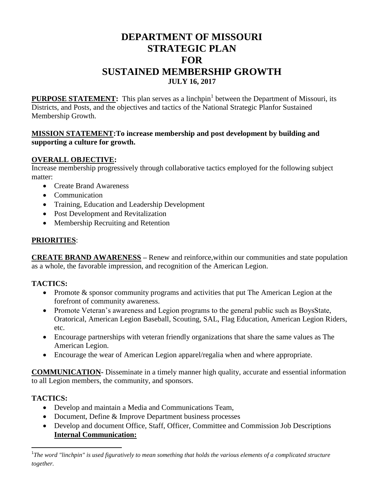# **DEPARTMENT OF MISSOURI STRATEGIC PLAN FOR SUSTAINED MEMBERSHIP GROWTH JULY 16, 2017**

**PURPOSE STATEMENT:** This plan serves as a linchpin<sup>1</sup> between the Department of Missouri, its Districts, and Posts, and the objectives and tactics of the National Strategic Planfor Sustained Membership Growth.

#### **MISSION STATEMENT:To increase membership and post development by building and supporting a culture for growth.**

### **OVERALL OBJECTIVE:**

Increase membership progressively through collaborative tactics employed for the following subject matter:

- Create Brand Awareness
- Communication
- Training, Education and Leadership Development
- Post Development and Revitalization
- Membership Recruiting and Retention

### **PRIORITIES**:

**CREATE BRAND AWARENESS –** Renew and reinforce,within our communities and state population as a whole, the favorable impression, and recognition of the American Legion.

### **TACTICS:**

- Promote & sponsor community programs and activities that put The American Legion at the forefront of community awareness.
- Promote Veteran's awareness and Legion programs to the general public such as BoysState, Oratorical, American Legion Baseball, Scouting, SAL, Flag Education, American Legion Riders, etc.
- Encourage partnerships with veteran friendly organizations that share the same values as The American Legion.
- Encourage the wear of American Legion apparel/regalia when and where appropriate.

**COMMUNICATION-** Disseminate in a timely manner high quality, accurate and essential information to all Legion members, the community, and sponsors.

### **TACTICS:**

 $\overline{a}$ 

- Develop and maintain a Media and Communications Team,
- Document, Define & Improve Department business processes
- Develop and document Office, Staff, Officer, Committee and Commission Job Descriptions **Internal Communication:**

<sup>&</sup>lt;sup>1</sup>The word "linchpin" is used figuratively to mean something that holds the various elements of a complicated structure *together.*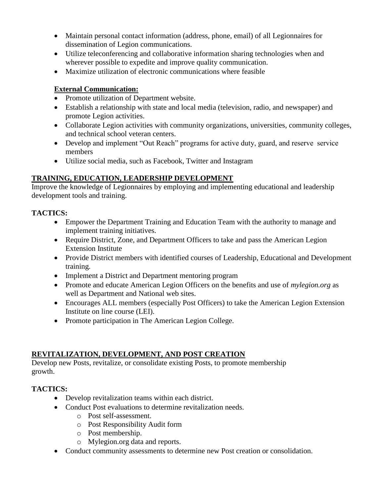- Maintain personal contact information (address, phone, email) of all Legionnaires for dissemination of Legion communications.
- Utilize teleconferencing and collaborative information sharing technologies when and wherever possible to expedite and improve quality communication.
- Maximize utilization of electronic communications where feasible

### **External Communication:**

- Promote utilization of Department website.
- Establish a relationship with state and local media (television, radio, and newspaper) and promote Legion activities.
- Collaborate Legion activities with community organizations, universities, community colleges, and technical school veteran centers.
- Develop and implement "Out Reach" programs for active duty, guard, and reserve service members
- Utilize social media, such as Facebook, Twitter and Instagram

# **TRAINING, EDUCATION, LEADERSHIP DEVELOPMENT**

Improve the knowledge of Legionnaires by employing and implementing educational and leadership development tools and training.

# **TACTICS:**

- Empower the Department Training and Education Team with the authority to manage and implement training initiatives.
- Require District, Zone, and Department Officers to take and pass the American Legion Extension Institute
- Provide District members with identified courses of Leadership, Educational and Development training.
- Implement a District and Department mentoring program
- Promote and educate American Legion Officers on the benefits and use of *mylegion.org* as well as Department and National web sites.
- Encourages ALL members (especially Post Officers) to take the American Legion Extension Institute on line course (LEI).
- Promote participation in The American Legion College.

### **REVITALIZATION, DEVELOPMENT, AND POST CREATION**

Develop new Posts, revitalize, or consolidate existing Posts, to promote membership growth.

# **TACTICS:**

- Develop revitalization teams within each district.
- Conduct Post evaluations to determine revitalization needs.
	- o Post self-assessment.
	- o Post Responsibility Audit form
	- o Post membership.
	- o Mylegion.org data and reports.
- Conduct community assessments to determine new Post creation or consolidation.